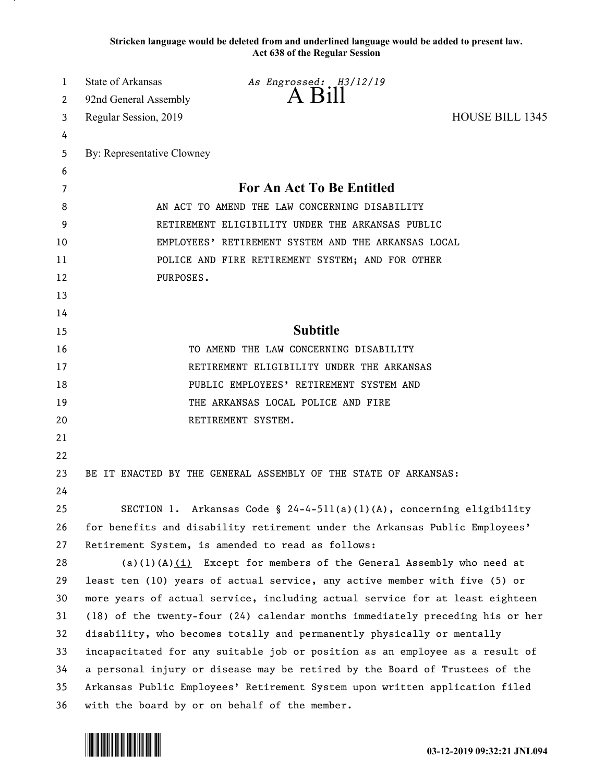**Stricken language would be deleted from and underlined language would be added to present law. Act 638 of the Regular Session**

| 1  | <b>State of Arkansas</b>   | As Engrossed: H3/12/19                                                        |                        |
|----|----------------------------|-------------------------------------------------------------------------------|------------------------|
| 2  | 92nd General Assembly      | A Bill                                                                        |                        |
| 3  | Regular Session, 2019      |                                                                               | <b>HOUSE BILL 1345</b> |
| 4  |                            |                                                                               |                        |
| 5  | By: Representative Clowney |                                                                               |                        |
| 6  |                            |                                                                               |                        |
| 7  |                            | <b>For An Act To Be Entitled</b>                                              |                        |
| 8  |                            | AN ACT TO AMEND THE LAW CONCERNING DISABILITY                                 |                        |
| 9  |                            | RETIREMENT ELIGIBILITY UNDER THE ARKANSAS PUBLIC                              |                        |
| 10 |                            | EMPLOYEES' RETIREMENT SYSTEM AND THE ARKANSAS LOCAL                           |                        |
| 11 |                            | POLICE AND FIRE RETIREMENT SYSTEM; AND FOR OTHER                              |                        |
| 12 | PURPOSES.                  |                                                                               |                        |
| 13 |                            |                                                                               |                        |
| 14 |                            |                                                                               |                        |
| 15 |                            | <b>Subtitle</b>                                                               |                        |
| 16 |                            | TO AMEND THE LAW CONCERNING DISABILITY                                        |                        |
| 17 |                            | RETIREMENT ELIGIBILITY UNDER THE ARKANSAS                                     |                        |
| 18 |                            | PUBLIC EMPLOYEES' RETIREMENT SYSTEM AND                                       |                        |
| 19 |                            | THE ARKANSAS LOCAL POLICE AND FIRE                                            |                        |
| 20 |                            | RETIREMENT SYSTEM.                                                            |                        |
| 21 |                            |                                                                               |                        |
| 22 |                            |                                                                               |                        |
| 23 |                            | BE IT ENACTED BY THE GENERAL ASSEMBLY OF THE STATE OF ARKANSAS:               |                        |
| 24 |                            |                                                                               |                        |
| 25 |                            | SECTION 1. Arkansas Code § $24-4-511(a)(1)(A)$ , concerning eligibility       |                        |
| 26 |                            | for benefits and disability retirement under the Arkansas Public Employees'   |                        |
| 27 |                            | Retirement System, is amended to read as follows:                             |                        |
| 28 |                            | $(a)(1)(A)(i)$ Except for members of the General Assembly who need at         |                        |
| 29 |                            | least ten (10) years of actual service, any active member with five (5) or    |                        |
| 30 |                            | more years of actual service, including actual service for at least eighteen  |                        |
| 31 |                            | (18) of the twenty-four (24) calendar months immediately preceding his or her |                        |
| 32 |                            | disability, who becomes totally and permanently physically or mentally        |                        |
| 33 |                            | incapacitated for any suitable job or position as an employee as a result of  |                        |
| 34 |                            | a personal injury or disease may be retired by the Board of Trustees of the   |                        |
| 35 |                            | Arkansas Public Employees' Retirement System upon written application filed   |                        |
| 36 |                            | with the board by or on behalf of the member.                                 |                        |

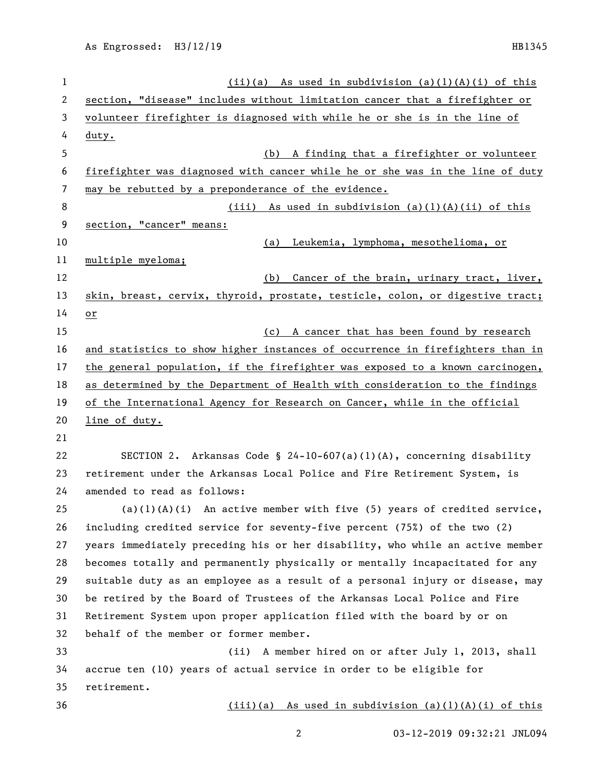| 1  | $(ii)(a)$ As used in subdivision $(a)(1)(A)(i)$ of this                       |  |  |
|----|-------------------------------------------------------------------------------|--|--|
| 2  | section, "disease" includes without limitation cancer that a firefighter or   |  |  |
| 3  | volunteer firefighter is diagnosed with while he or she is in the line of     |  |  |
| 4  | <u>duty.</u>                                                                  |  |  |
| 5  | A finding that a firefighter or volunteer<br>(b)                              |  |  |
| 6  | firefighter was diagnosed with cancer while he or she was in the line of duty |  |  |
| 7  | may be rebutted by a preponderance of the evidence.                           |  |  |
| 8  | $(iii)$ As used in subdivision $(a)(1)(A)(ii)$ of this                        |  |  |
| 9  | section, "cancer" means:                                                      |  |  |
| 10 | Leukemia, lymphoma, mesothelioma, or<br>(a)                                   |  |  |
| 11 | multiple myeloma;                                                             |  |  |
| 12 | Cancer of the brain, urinary tract, liver,<br>(b)                             |  |  |
| 13 | skin, breast, cervix, thyroid, prostate, testicle, colon, or digestive tract; |  |  |
| 14 | or                                                                            |  |  |
| 15 | (c) A cancer that has been found by research                                  |  |  |
| 16 | and statistics to show higher instances of occurrence in firefighters than in |  |  |
| 17 | the general population, if the firefighter was exposed to a known carcinogen, |  |  |
| 18 | as determined by the Department of Health with consideration to the findings  |  |  |
| 19 | of the International Agency for Research on Cancer, while in the official     |  |  |
| 20 | line of duty.                                                                 |  |  |
| 21 |                                                                               |  |  |
| 22 | SECTION 2. Arkansas Code § 24-10-607(a)(1)(A), concerning disability          |  |  |
| 23 | retirement under the Arkansas Local Police and Fire Retirement System, is     |  |  |
| 24 | amended to read as follows:                                                   |  |  |
| 25 | $(a)(1)(A)(i)$ An active member with five (5) years of credited service,      |  |  |
| 26 | including credited service for seventy-five percent (75%) of the two (2)      |  |  |
| 27 | years immediately preceding his or her disability, who while an active member |  |  |
| 28 | becomes totally and permanently physically or mentally incapacitated for any  |  |  |
| 29 | suitable duty as an employee as a result of a personal injury or disease, may |  |  |
| 30 | be retired by the Board of Trustees of the Arkansas Local Police and Fire     |  |  |
| 31 | Retirement System upon proper application filed with the board by or on       |  |  |
| 32 | behalf of the member or former member.                                        |  |  |
| 33 | A member hired on or after July 1, 2013, shall<br>(ii)                        |  |  |
| 34 | accrue ten (10) years of actual service in order to be eligible for           |  |  |
| 35 | retirement.                                                                   |  |  |
| 36 | $(iii)(a)$ As used in subdivision $(a)(1)(A)(i)$ of this                      |  |  |
|    | $\overline{c}$<br>03-12-2019 09:32:21 JNL094                                  |  |  |